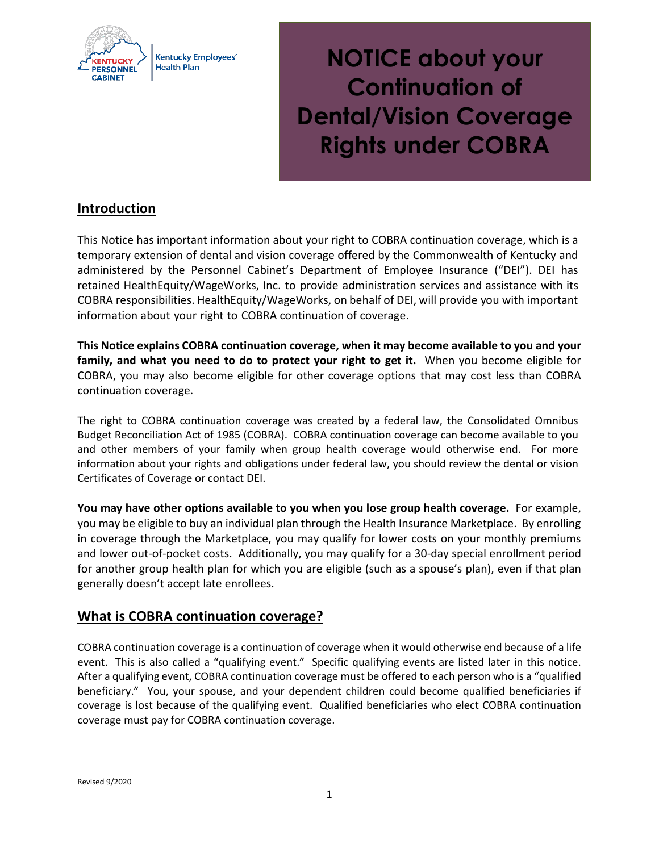

**Kentucky Employees' Health Plan** 

**NOTICE about your Continuation of Dental/Vision Coverage Rights under COBRA**

# **Introduction**

This Notice has important information about your right to COBRA continuation coverage, which is a temporary extension of dental and vision coverage offered by the Commonwealth of Kentucky and administered by the Personnel Cabinet's Department of Employee Insurance ("DEI"). DEI has retained HealthEquity/WageWorks, Inc. to provide administration services and assistance with its COBRA responsibilities. HealthEquity/WageWorks, on behalf of DEI, will provide you with important information about your right to COBRA continuation of coverage.

**This Notice explains COBRA continuation coverage, when it may become available to you and your family, and what you need to do to protect your right to get it.** When you become eligible for COBRA, you may also become eligible for other coverage options that may cost less than COBRA continuation coverage.

The right to COBRA continuation coverage was created by a federal law, the Consolidated Omnibus Budget Reconciliation Act of 1985 (COBRA). COBRA continuation coverage can become available to you and other members of your family when group health coverage would otherwise end. For more information about your rights and obligations under federal law, you should review the dental or vision Certificates of Coverage or contact DEI.

**You may have other options available to you when you lose group health coverage.** For example, you may be eligible to buy an individual plan through the Health Insurance Marketplace. By enrolling in coverage through the Marketplace, you may qualify for lower costs on your monthly premiums and lower out-of-pocket costs. Additionally, you may qualify for a 30-day special enrollment period for another group health plan for which you are eligible (such as a spouse's plan), even if that plan generally doesn't accept late enrollees.

# **What is COBRA continuation coverage?**

COBRA continuation coverage is a continuation of coverage when it would otherwise end because of a life event. This is also called a "qualifying event." Specific qualifying events are listed later in this notice. After a qualifying event, COBRA continuation coverage must be offered to each person who is a "qualified beneficiary." You, your spouse, and your dependent children could become qualified beneficiaries if coverage is lost because of the qualifying event. Qualified beneficiaries who elect COBRA continuation coverage must pay for COBRA continuation coverage.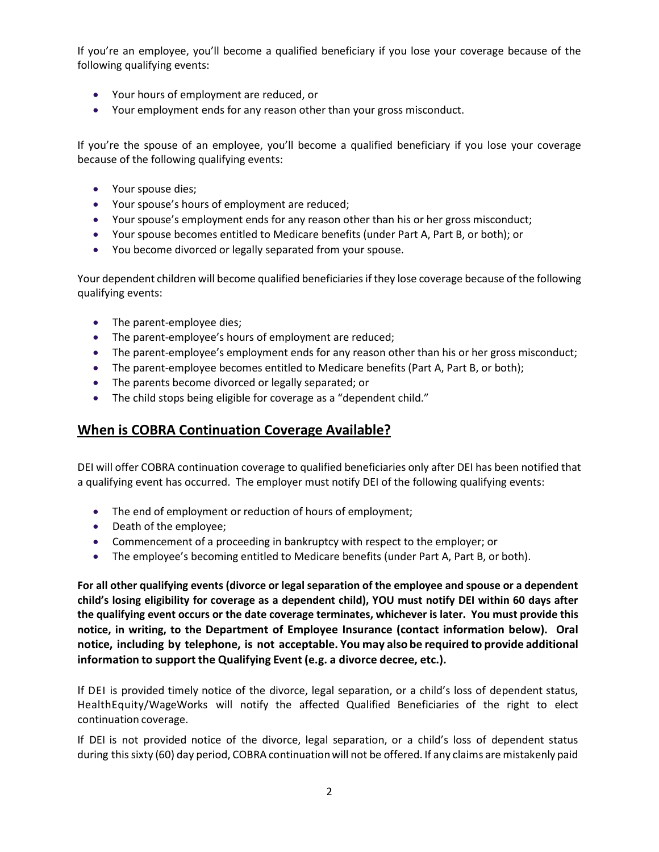If you're an employee, you'll become a qualified beneficiary if you lose your coverage because of the following qualifying events:

- Your hours of employment are reduced, or
- Your employment ends for any reason other than your gross misconduct.

If you're the spouse of an employee, you'll become a qualified beneficiary if you lose your coverage because of the following qualifying events:

- Your spouse dies;
- Your spouse's hours of employment are reduced;
- Your spouse's employment ends for any reason other than his or her gross misconduct;
- Your spouse becomes entitled to Medicare benefits (under Part A, Part B, or both); or
- You become divorced or legally separated from your spouse.

Your dependent children will become qualified beneficiaries if they lose coverage because of the following qualifying events:

- The parent-employee dies;
- The parent-employee's hours of employment are reduced;
- The parent-employee's employment ends for any reason other than his or her gross misconduct;
- The parent-employee becomes entitled to Medicare benefits (Part A, Part B, or both);
- The parents become divorced or legally separated; or
- The child stops being eligible for coverage as a "dependent child."

# **When is COBRA Continuation Coverage Available?**

DEI will offer COBRA continuation coverage to qualified beneficiaries only after DEI has been notified that a qualifying event has occurred. The employer must notify DEI of the following qualifying events:

- The end of employment or reduction of hours of employment;
- Death of the employee;
- Commencement of a proceeding in bankruptcy with respect to the employer; or
- The employee's becoming entitled to Medicare benefits (under Part A, Part B, or both).

**For all other qualifying events (divorce or legal separation of the employee and spouse or a dependent child's losing eligibility for coverage as a dependent child), YOU must notify DEI within 60 days after the qualifying event occurs or the date coverage terminates, whichever is later. You must provide this notice, in writing, to the Department of Employee Insurance (contact information below). Oral notice, including by telephone, is not acceptable. You may also be required to provide additional information to support the Qualifying Event (e.g. a divorce decree, etc.).** 

If DEI is provided timely notice of the divorce, legal separation, or a child's loss of dependent status, HealthEquity/WageWorks will notify the affected Qualified Beneficiaries of the right to elect continuation coverage.

If DEI is not provided notice of the divorce, legal separation, or a child's loss of dependent status during this sixty (60) day period, COBRA continuationwill not be offered. If any claims are mistakenly paid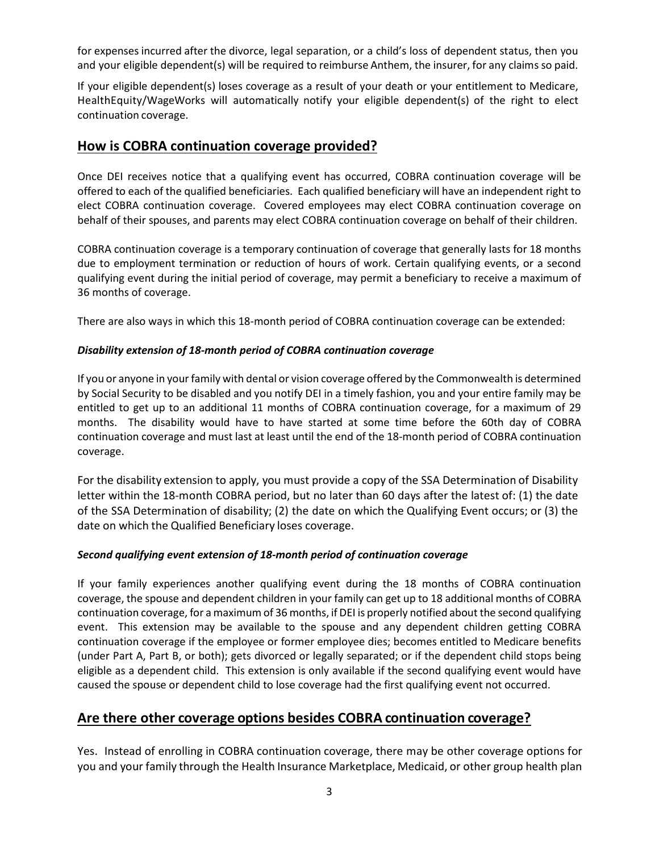for expenses incurred after the divorce, legal separation, or a child's loss of dependent status, then you and your eligible dependent(s) will be required to reimburse Anthem, the insurer, for any claimsso paid.

If your eligible dependent(s) loses coverage as a result of your death or your entitlement to Medicare, HealthEquity/WageWorks will automatically notify your eligible dependent(s) of the right to elect continuation coverage.

#### **How is COBRA continuation coverage provided?**

Once DEI receives notice that a qualifying event has occurred, COBRA continuation coverage will be offered to each of the qualified beneficiaries. Each qualified beneficiary will have an independent right to elect COBRA continuation coverage. Covered employees may elect COBRA continuation coverage on behalf of their spouses, and parents may elect COBRA continuation coverage on behalf of their children.

COBRA continuation coverage is a temporary continuation of coverage that generally lasts for 18 months due to employment termination or reduction of hours of work. Certain qualifying events, or a second qualifying event during the initial period of coverage, may permit a beneficiary to receive a maximum of 36 months of coverage.

There are also ways in which this 18-month period of COBRA continuation coverage can be extended:

#### *Disability extension of 18-month period of COBRA continuation coverage*

If you or anyone in your family with dental or vision coverage offered by the Commonwealth is determined by Social Security to be disabled and you notify DEI in a timely fashion, you and your entire family may be entitled to get up to an additional 11 months of COBRA continuation coverage, for a maximum of 29 months. The disability would have to have started at some time before the 60th day of COBRA continuation coverage and must last at least until the end of the 18-month period of COBRA continuation coverage.

For the disability extension to apply, you must provide a copy of the SSA Determination of Disability letter within the 18-month COBRA period, but no later than 60 days after the latest of: (1) the date of the SSA Determination of disability; (2) the date on which the Qualifying Event occurs; or (3) the date on which the Qualified Beneficiary loses coverage.

#### *Second qualifying event extension of 18-month period of continuation coverage*

If your family experiences another qualifying event during the 18 months of COBRA continuation coverage, the spouse and dependent children in your family can get up to 18 additional months of COBRA continuation coverage, for a maximum of 36 months, if DEI is properly notified about the second qualifying event. This extension may be available to the spouse and any dependent children getting COBRA continuation coverage if the employee or former employee dies; becomes entitled to Medicare benefits (under Part A, Part B, or both); gets divorced or legally separated; or if the dependent child stops being eligible as a dependent child. This extension is only available if the second qualifying event would have caused the spouse or dependent child to lose coverage had the first qualifying event not occurred.

### **Are there other coverage options besides COBRA continuation coverage?**

Yes. Instead of enrolling in COBRA continuation coverage, there may be other coverage options for you and your family through the Health Insurance Marketplace, Medicaid, or other group health plan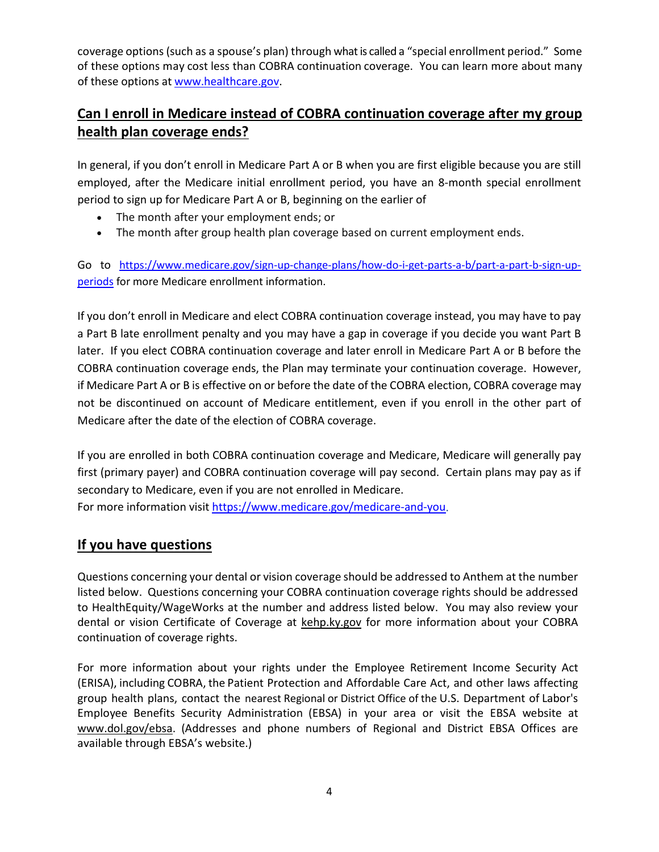coverage options(such as a spouse's plan) through what is called a "special enrollment period." Some of these options may cost less than COBRA continuation coverage. You can learn more about many of these options at [www.healthcare.gov.](http://www.healthcare.gov/)

# **Can I enroll in Medicare instead of COBRA continuation coverage after my group health plan coverage ends?**

In general, if you don't enroll in Medicare Part A or B when you are first eligible because you are still employed, after the Medicare initial enrollment period, you have an 8-month special enrollment period to sign up for Medicare Part A or B, beginning on the earlier of

- The month after your employment ends; or
- The month after group health plan coverage based on current employment ends.

Go to [https://www.medicare.gov/sign-up-change-plans/how-do-i-get-parts-a-b/part-a-part-b-sign-up](https://www.medicare.gov/sign-up-change-plans/how-do-i-get-parts-a-b/part-a-part-b-sign-up-periods)[periods](https://www.medicare.gov/sign-up-change-plans/how-do-i-get-parts-a-b/part-a-part-b-sign-up-periods) for more Medicare enrollment information.

If you don't enroll in Medicare and elect COBRA continuation coverage instead, you may have to pay a Part B late enrollment penalty and you may have a gap in coverage if you decide you want Part B later. If you elect COBRA continuation coverage and later enroll in Medicare Part A or B before the COBRA continuation coverage ends, the Plan may terminate your continuation coverage. However, if Medicare Part A or B is effective on or before the date of the COBRA election, COBRA coverage may not be discontinued on account of Medicare entitlement, even if you enroll in the other part of Medicare after the date of the election of COBRA coverage.

If you are enrolled in both COBRA continuation coverage and Medicare, Medicare will generally pay first (primary payer) and COBRA continuation coverage will pay second. Certain plans may pay as if secondary to Medicare, even if you are not enrolled in Medicare.

For more information visit [https://www.medicare.gov/medicare-and-you.](https://www.medicare.gov/medicare-and-you)

# **If you have questions**

Questions concerning your dental or vision coverage should be addressed to Anthem at the number listed below. Questions concerning your COBRA continuation coverage rights should be addressed to HealthEquity/WageWorks at the number and address listed below. You may also review your dental or vision Certificate of Coverage at kehp.ky.gov for more information about your COBRA continuation of coverage rights.

For more information about your rights under the Employee Retirement Income Security Act (ERISA), including COBRA, the Patient Protection and Affordable Care Act, and other laws affecting group health plans, contact the nearest Regional or District Office of the U.S. Department of Labor's Employee Benefits Security Administration (EBSA) in your area or visit the EBSA website at [www.dol.gov/ebsa.](http://www.dol.gov/ebsa) (Addresses and phone numbers of Regional and District EBSA Offices are available through EBSA's website.)